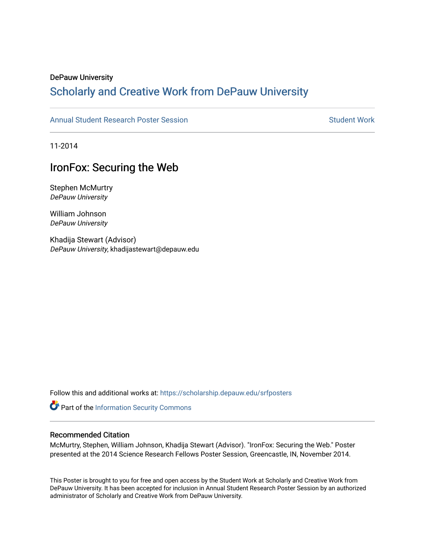### DePauw University

### Scholarly and [Creative Work from DePauw Univ](https://scholarship.depauw.edu/)ersity

### [Annual Student Research Poster Session](https://scholarship.depauw.edu/srfposters) Student Work

11-2014

### IronFox: Securing the Web

Stephen McMurtry DePauw University

William Johnson DePauw University

Khadija Stewart (Advisor) DePauw University, khadijastewart@depauw.edu

Follow this and additional works at: [https://scholarship.depauw.edu/srfposters](https://scholarship.depauw.edu/srfposters?utm_source=scholarship.depauw.edu%2Fsrfposters%2F16&utm_medium=PDF&utm_campaign=PDFCoverPages) 

Part of the [Information Security Commons](https://network.bepress.com/hgg/discipline/1247?utm_source=scholarship.depauw.edu%2Fsrfposters%2F16&utm_medium=PDF&utm_campaign=PDFCoverPages) 

### Recommended Citation

McMurtry, Stephen, William Johnson, Khadija Stewart (Advisor). "IronFox: Securing the Web." Poster presented at the 2014 Science Research Fellows Poster Session, Greencastle, IN, November 2014.

This Poster is brought to you for free and open access by the Student Work at Scholarly and Creative Work from DePauw University. It has been accepted for inclusion in Annual Student Research Poster Session by an authorized administrator of Scholarly and Creative Work from DePauw University.